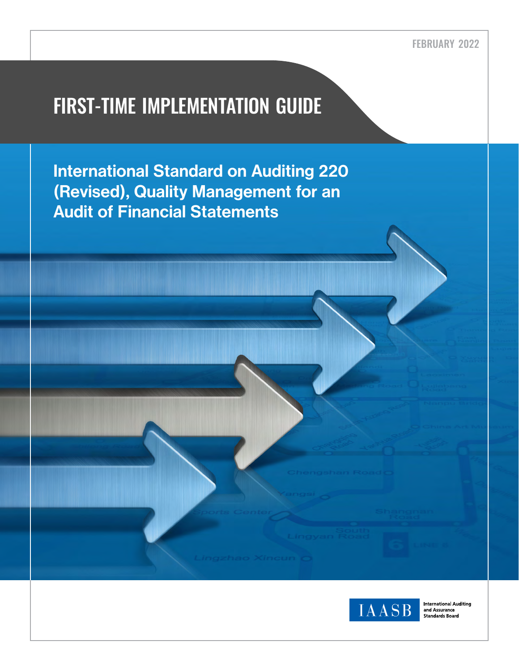# FIRST-TIME IMPLEMENTATION GUIDE

International Standard on Auditing 220 (Revised), Quality Management for an Audit of Financial Statements



**International Auditing** and Assurance<br>Standards Board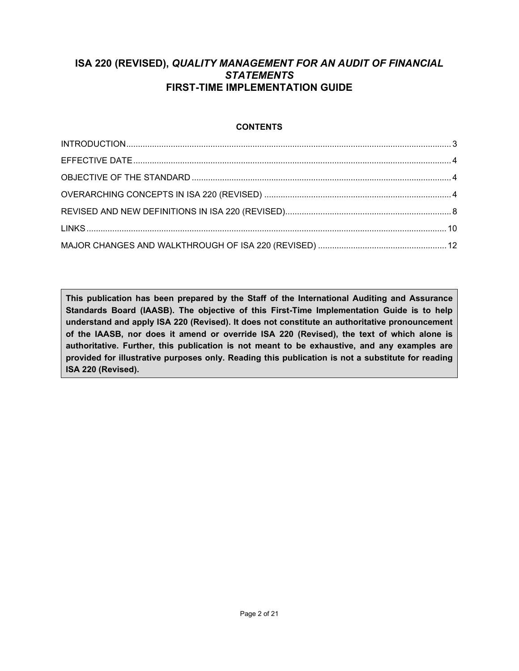# **ISA 220 (REVISED),** *QUALITY MANAGEMENT FOR AN AUDIT OF FINANCIAL STATEMENTS* **FIRST-TIME IMPLEMENTATION GUIDE**

# **CONTENTS**

**This publication has been prepared by the Staff of the International Auditing and Assurance Standards Board (IAASB). The objective of this First-Time Implementation Guide is to help understand and apply ISA 220 (Revised). It does not constitute an authoritative pronouncement of the IAASB, nor does it amend or override ISA 220 (Revised), the text of which alone is authoritative. Further, this publication is not meant to be exhaustive, and any examples are provided for illustrative purposes only. Reading this publication is not a substitute for reading ISA 220 (Revised).**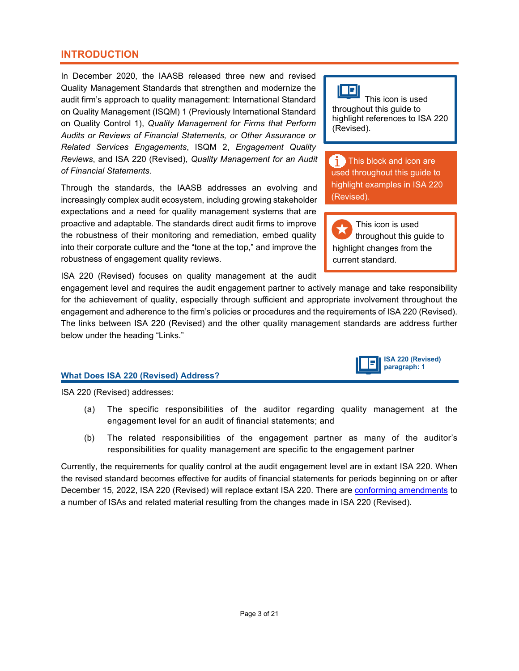### <span id="page-2-0"></span>**INTRODUCTION**

In December 2020, the IAASB released three new and revised Quality Management Standards that strengthen and modernize the audit firm's approach to quality management: International Standard on Quality Management (ISQM) 1 (Previously International Standard on Quality Control 1), *Quality Management for Firms that Perform Audits or Reviews of Financial Statements, or Other Assurance or Related Services Engagements*, ISQM 2, *Engagement Quality Reviews*, and ISA 220 (Revised), *Quality Management for an Audit of Financial Statements*.

Through the standards, the IAASB addresses an evolving and increasingly complex audit ecosystem, including growing stakeholder expectations and a need for quality management systems that are proactive and adaptable. The standards direct audit firms to improve the robustness of their monitoring and remediation, embed quality into their corporate culture and the "tone at the top," and improve the robustness of engagement quality reviews.

ISA 220 (Revised) focuses on quality management at the audit

### engagement level and requires the audit engagement partner to actively manage and take responsibility for the achievement of quality, especially through sufficient and appropriate involvement throughout the engagement and adherence to the firm's policies or procedures and the requirements of ISA 220 (Revised). The links between ISA 220 (Revised) and the other quality management standards are address further below under the heading "Links."

### **What Does ISA 220 (Revised) Address?**

ISA 220 (Revised) addresses:

- (a) The specific responsibilities of the auditor regarding quality management at the engagement level for an audit of financial statements; and
- (b) The related responsibilities of the engagement partner as many of the auditor's responsibilities for quality management are specific to the engagement partner

Currently, the requirements for quality control at the audit engagement level are in extant ISA 220. When the revised standard becomes effective for audits of financial statements for periods beginning on or after December 15, 2022, ISA 220 (Revised) will replace extant ISA 220. There are [conforming amendments](https://www.ifac.org/system/files/publications/files/IAASB-quality-management-conforming-amendments.pdf) to a number of ISAs and related material resulting from the changes made in ISA 220 (Revised).

# ПE.

 This icon is used throughout this guide to highlight references to ISA 220 (Revised).

**This block and icon are** used throughout this guide to highlight examples in ISA 220 (Revised).

 This icon is used throughout this guide to highlight changes from the current standard.

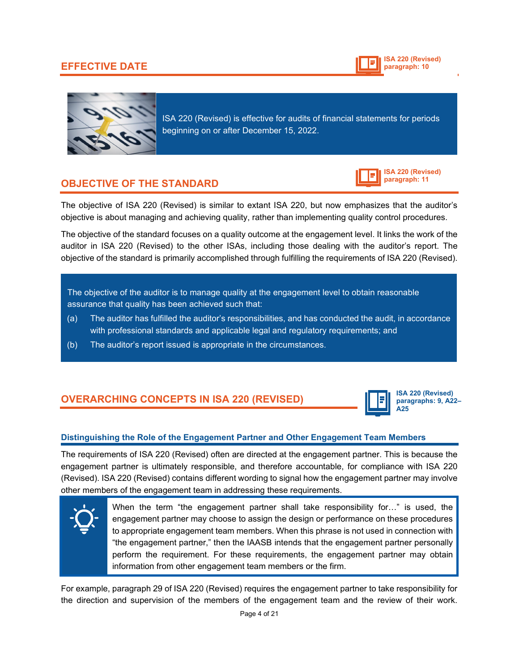# <span id="page-3-0"></span>**EFFECTIVE DATE**





ISA 220 (Revised) is effective for audits of financial statements for periods beginning on or after December 15, 2022.

# <span id="page-3-1"></span>**OBJECTIVE OF THE STANDARD**

**ISA 220 (Revised) paragraph: 11**

The objective of ISA 220 (Revised) is similar to extant ISA 220, but now emphasizes that the auditor's objective is about managing and achieving quality, rather than implementing quality control procedures.

The objective of the standard focuses on a quality outcome at the engagement level. It links the work of the auditor in ISA 220 (Revised) to the other ISAs, including those dealing with the auditor's report. The objective of the standard is primarily accomplished through fulfilling the requirements of ISA 220 (Revised).

The objective of the auditor is to manage quality at the engagement level to obtain reasonable assurance that quality has been achieved such that:

- $\alpha$  The auditor has fulfilled the auditor's responsibilities, and has conducte<u>d the audit, in accordance</u> with professional standards and applicable legal and regulatory requirements; and
- <span id="page-3-2"></span>(b) The auditor's report issued is appropriate in the circumstances.

# **OVERARCHING CONCEPTS IN ISA 220 (REVISED)**



**ISA 220 (Revised) paragraphs: 9, A22– A25**

### **Distinguishing the Role of the Engagement Partner and Other Engagement Team Members**

The requirements of ISA 220 (Revised) often are directed at the engagement partner. This is because the engagement partner is ultimately responsible, and therefore accountable, for compliance with ISA 220 (Revised). ISA 220 (Revised) contains different wording to signal how the engagement partner may involve other members of the engagement team in addressing these requirements.



When the term "the engagement partner shall take responsibility for…" is used, the engagement partner may choose to assign the design or performance on these procedures to appropriate engagement team members. When this phrase is not used in connection with "the engagement partner," then the IAASB intends that the engagement partner personally perform the requirement. For these requirements, the engagement partner may obtain information from other engagement team members or the firm.

For example, paragraph 29 of ISA 220 (Revised) requires the engagement partner to take responsibility for the direction and supervision of the members of the engagement team and the review of their work.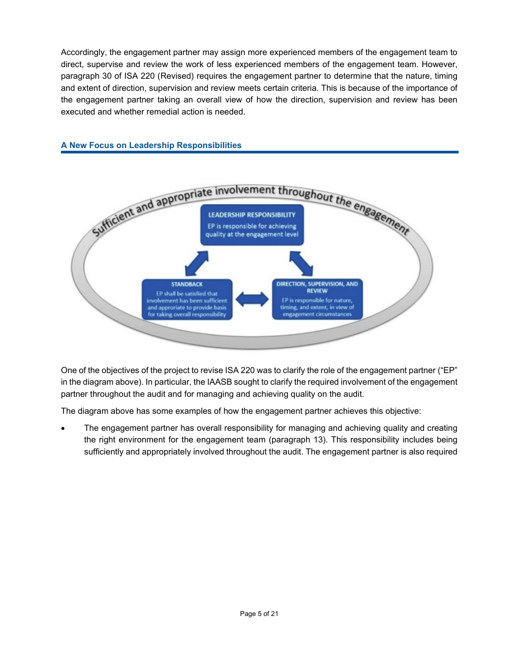Accordingly, the engagement partner may assign more experienced members of the engagement team to direct, supervise and review the work of less experienced members of the engagement team. However, paragraph 30 of ISA 220 (Revised) requires the engagement partner to determine that the nature, timing and extent of direction, supervision and review meets certain criteria. This is because of the importance of the engagement partner taking an overall view of how the direction, supervision and review has been executed and whether remedial action is needed.



### **A New Focus on Leadership Responsibilities**

One of the objectives of the project to revise ISA 220 was to clarify the role of the engagement partner ("EP" in the diagram above). In particular, the IAASB sought to clarify the required involvement of the engagement partner throughout the audit and for managing and achieving quality on the audit.

The diagram above has some examples of how the engagement partner achieves this objective:

• The engagement partner has overall responsibility for managing and achieving quality and creating the right environment for the engagement team (paragraph 13). This responsibility includes being sufficiently and appropriately involved throughout the audit. The engagement partner is also required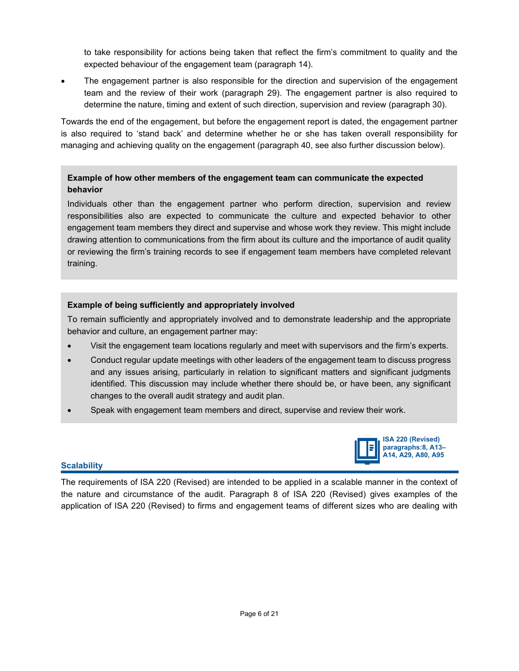to take responsibility for actions being taken that reflect the firm's commitment to quality and the expected behaviour of the engagement team (paragraph 14).

• The engagement partner is also responsible for the direction and supervision of the engagement team and the review of their work (paragraph 29). The engagement partner is also required to determine the nature, timing and extent of such direction, supervision and review (paragraph 30).

Towards the end of the engagement, but before the engagement report is dated, the engagement partner is also required to 'stand back' and determine whether he or she has taken overall responsibility for managing and achieving quality on the engagement (paragraph 40, see also further discussion below).

### **Example of how other members of the engagement team can communicate the expected behavior**

Individuals other than the engagement partner who perform direction, supervision and review responsibilities also are expected to communicate the culture and expected behavior to other engagement team members they direct and supervise and whose work they review. This might include drawing attention to communications from the firm about its culture and the importance of audit quality or reviewing the firm's training records to see if engagement team members have completed relevant training.

### **Example of being sufficiently and appropriately involved**

To remain sufficiently and appropriately involved and to demonstrate leadership and the appropriate behavior and culture, an engagement partner may:

- Visit the engagement team locations regularly and meet with supervisors and the firm's experts.
- Conduct regular update meetings with other leaders of the engagement team to discuss progress and any issues arising, particularly in relation to significant matters and significant judgments identified. This discussion may include whether there should be, or have been, any significant changes to the overall audit strategy and audit plan.
- Speak with engagement team members and direct, supervise and review their work.



### **Scalability**

The requirements of ISA 220 (Revised) are intended to be applied in a scalable manner in the context of the nature and circumstance of the audit. Paragraph 8 of ISA 220 (Revised) gives examples of the application of ISA 220 (Revised) to firms and engagement teams of different sizes who are dealing with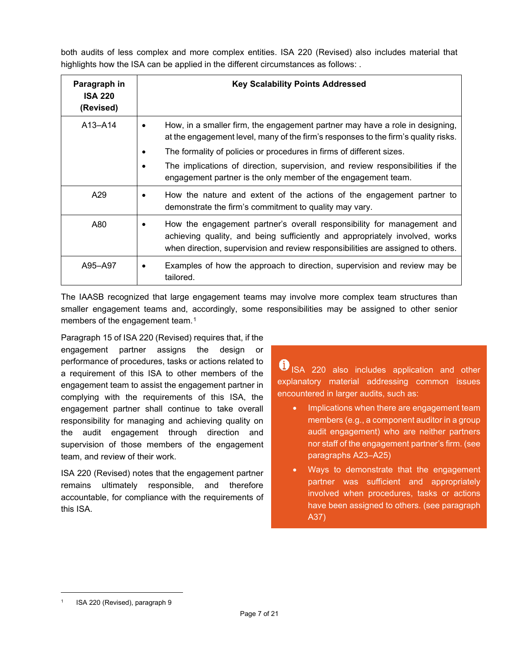both audits of less complex and more complex entities. ISA 220 (Revised) also includes material that highlights how the ISA can be applied in the different circumstances as follows: .

| Paragraph in<br><b>ISA 220</b><br>(Revised) | <b>Key Scalability Points Addressed</b>                                                                                                                                                                                                                                                                                                                                                                                 |
|---------------------------------------------|-------------------------------------------------------------------------------------------------------------------------------------------------------------------------------------------------------------------------------------------------------------------------------------------------------------------------------------------------------------------------------------------------------------------------|
| $A13 - A14$                                 | How, in a smaller firm, the engagement partner may have a role in designing,<br>$\bullet$<br>at the engagement level, many of the firm's responses to the firm's quality risks.<br>The formality of policies or procedures in firms of different sizes.<br>$\bullet$<br>The implications of direction, supervision, and review responsibilities if the<br>engagement partner is the only member of the engagement team. |
| A29                                         | How the nature and extent of the actions of the engagement partner to<br>demonstrate the firm's commitment to quality may vary.                                                                                                                                                                                                                                                                                         |
| A80                                         | How the engagement partner's overall responsibility for management and<br>٠<br>achieving quality, and being sufficiently and appropriately involved, works<br>when direction, supervision and review responsibilities are assigned to others.                                                                                                                                                                           |
| A95-A97                                     | Examples of how the approach to direction, supervision and review may be<br>$\bullet$<br>tailored.                                                                                                                                                                                                                                                                                                                      |

The IAASB recognized that large engagement teams may involve more complex team structures than smaller engagement teams and, accordingly, some responsibilities may be assigned to other senior members of the engagement team.<sup>[1](#page-6-0)</sup>

Paragraph 15 of ISA 220 (Revised) requires that, if the engagement partner assigns the design or performance of procedures, tasks or actions related to a requirement of this ISA to other members of the engagement team to assist the engagement partner in complying with the requirements of this ISA, the engagement partner shall continue to take overall responsibility for managing and achieving quality on the audit engagement through direction and supervision of those members of the engagement team, and review of their work.

ISA 220 (Revised) notes that the engagement partner remains ultimately responsible, and therefore accountable, for compliance with the requirements of this ISA.

**ISA 220 also includes application and other** explanatory material addressing common issues encountered in larger audits, such as:

- Implications when there are engagement team members (e.g., a component auditor in a group audit engagement) who are neither partners nor staff of the engagement partner's firm. (see paragraphs A23–A25)
- Ways to demonstrate that the engagement partner was sufficient and appropriately involved when procedures, tasks or actions have been assigned to others. (see paragraph A37)

<span id="page-6-0"></span><sup>1</sup> ISA 220 (Revised), paragraph 9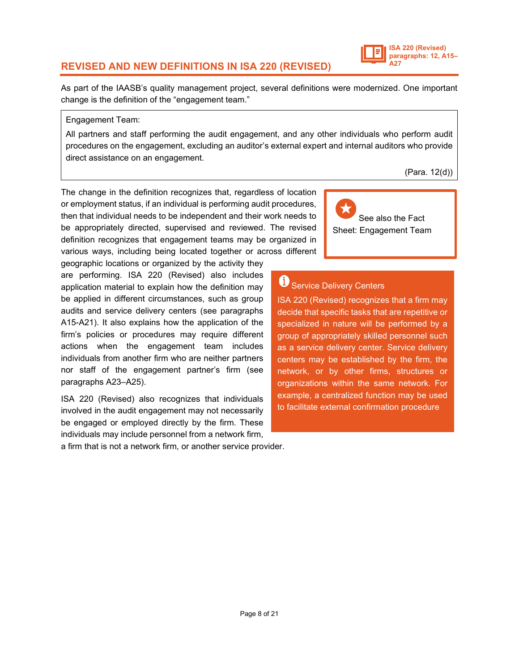# <span id="page-7-0"></span>**REVISED AND NEW DEFINITIONS IN ISA 220 (REVISED)**

As part of the IAASB's quality management project, several definitions were modernized. One important change is the definition of the "engagement team."

### Engagement Team:

All partners and staff performing the audit engagement, and any other individuals who perform audit procedures on the engagement, excluding an auditor's external expert and internal auditors who provide direct assistance on an engagement.

(Para. 12(d))

See also the Fact Sheet: Engagement Team

The change in the definition recognizes that, regardless of location or employment status, if an individual is performing audit procedures, then that individual needs to be independent and their work needs to be appropriately directed, supervised and reviewed. The revised definition recognizes that engagement teams may be organized in various ways, including being located together or across different

geographic locations or organized by the activity they are performing. ISA 220 (Revised) also includes application material to explain how the definition may be applied in different circumstances, such as group audits and service delivery centers (see paragraphs A15-A21). It also explains how the application of the firm's policies or procedures may require different actions when the engagement team includes individuals from another firm who are neither partners nor staff of the engagement partner's firm (see paragraphs A23–A25).

ISA 220 (Revised) also recognizes that individuals involved in the audit engagement may not necessarily be engaged or employed directly by the firm. These individuals may include personnel from a network firm,

a firm that is not a network firm, or another service provider.

Service Delivery Centers

ISA 220 (Revised) recognizes that a firm may decide that specific tasks that are repetitive or specialized in nature will be performed by a group of appropriately skilled personnel such as a service delivery center. Service delivery centers may be established by the firm, the network, or by other firms, structures or organizations within the same network. For example, a centralized function may be used to facilitate external confirmation procedure

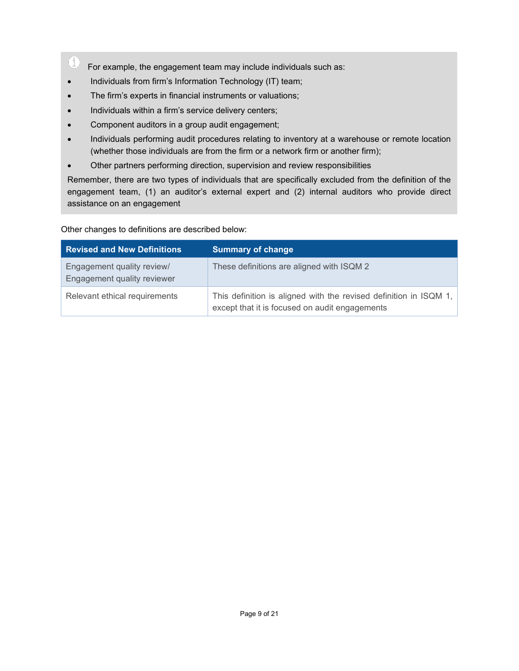- $\circled{1}$ For example, the engagement team may include individuals such as:
- Individuals from firm's Information Technology (IT) team;
- The firm's experts in financial instruments or valuations;
- Individuals within a firm's service delivery centers;
- Component auditors in a group audit engagement;
- Individuals performing audit procedures relating to inventory at a warehouse or remote location (whether those individuals are from the firm or a network firm or another firm);
- Other partners performing direction, supervision and review responsibilities

Remember, there are two types of individuals that are specifically excluded from the definition of the engagement team, (1) an auditor's external expert and (2) internal auditors who provide direct assistance on an engagement

Other changes to definitions are described below:

<span id="page-8-0"></span>

| <b>Revised and New Definitions</b>                        | <b>Summary of change</b>                                                                                            |
|-----------------------------------------------------------|---------------------------------------------------------------------------------------------------------------------|
| Engagement quality review/<br>Engagement quality reviewer | These definitions are aligned with ISQM 2                                                                           |
| Relevant ethical requirements                             | This definition is aligned with the revised definition in ISQM 1,<br>except that it is focused on audit engagements |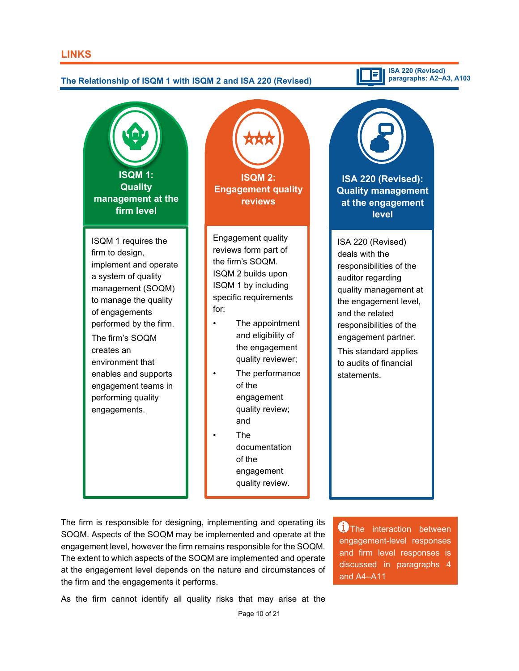# El **The Relationship of ISQM 1 with ISQM 2 and ISA 220 (Revised) ISQM 1: ISQM 2: Quality Engagement quality management at the reviews firm level** Engagement quality ISQM 1 requires the reviews form part of firm to design, the firm's SOQM. implement and operate ISQM 2 builds upon a system of quality

for:

management (SOQM) to manage the quality of engagements performed by the firm. The firm's SOQM creates an environment that enables and supports engagement teams in performing quality engagements.

ISQM 1 by including specific requirements

- The appointment and eligibility of the engagement quality reviewer;
- The performance of the engagement quality review; and
	- The documentation of the engagement quality review.*).*

**ISA 220 (Revised): Quality management at the engagement level**

**ISA 220 (Revised) paragraphs: A2–A3, A103**

ISA 220 (Revised) deals with the responsibilities of the auditor regarding quality management at the engagement level, and the related responsibilities of the engagement partner.

This standard applies to audits of financial statements.

The firm is responsible for designing, implementing and operating its SOQM. Aspects of the SOQM may be implemented and operate at the engagement level, however the firm remains responsible for the SOQM. The extent to which aspects of the SOQM are implemented and operate at the engagement level depends on the nature and circumstances of the firm and the engagements it performs.

**1**) The interaction between engagement-level responses and firm level responses is discussed in paragraphs 4 and A4–A11

As the firm cannot identify all quality risks that may arise at the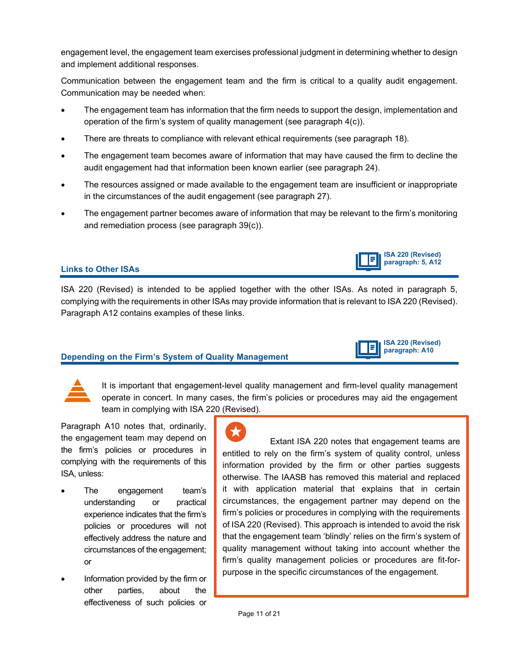engagement level, the engagement team exercises professional judgment in determining whether to design and implement additional responses.

Communication between the engagement team and the firm is critical to a quality audit engagement. Communication may be needed when:

- The engagement team has information that the firm needs to support the design, implementation and operation of the firm's system of quality management (see paragraph 4(c)).
- There are threats to compliance with relevant ethical requirements (see paragraph 18).
- The engagement team becomes aware of information that may have caused the firm to decline the audit engagement had that information been known earlier (see paragraph 24).
- The resources assigned or made available to the engagement team are insufficient or inappropriate in the circumstances of the audit engagement (see paragraph 27).
- The engagement partner becomes aware of information that may be relevant to the firm's monitoring and remediation process (see paragraph 39(c)).

### **Links to Other ISAs**

ISA 220 (Revised) is intended to be applied together with the other ISAs. As noted in paragraph 5, complying with the requirements in other ISAs may provide information that is relevant to ISA 220 (Revised). Paragraph A12 contains examples of these links.

### **Depending on the Firm's System of Quality Management**

It is important that engagement-level quality management and firm-level quality management operate in concert. In many cases, the firm's policies or procedures may aid the engagement team in complying with ISA 220 (Revised).

Paragraph A10 notes that, ordinarily, the engagement team may depend on the firm's policies or procedures in complying with the requirements of this ISA, unless:

- The engagement team's understanding or practical experience indicates that the firm's policies or procedures will not effectively address the nature and circumstances of the engagement; or
- Information provided by the firm or other parties, about the effectiveness of such policies or

 Extant ISA 220 notes that engagement teams are entitled to rely on the firm's system of quality control, unless information provided by the firm or other parties suggests otherwise. The IAASB has removed this material and replaced it with application material that explains that in certain circumstances, the engagement partner may depend on the firm's policies or procedures in complying with the requirements of ISA 220 (Revised). This approach is intended to avoid the risk that the engagement team 'blindly' relies on the firm's system of quality management without taking into account whether the firm's quality management policies or procedures are fit-forpurpose in the specific circumstances of the engagement.

**ISA 220 (Revised) paragraph: A10**

F

**ISA 220 (Revised) paragraph: 5, A12**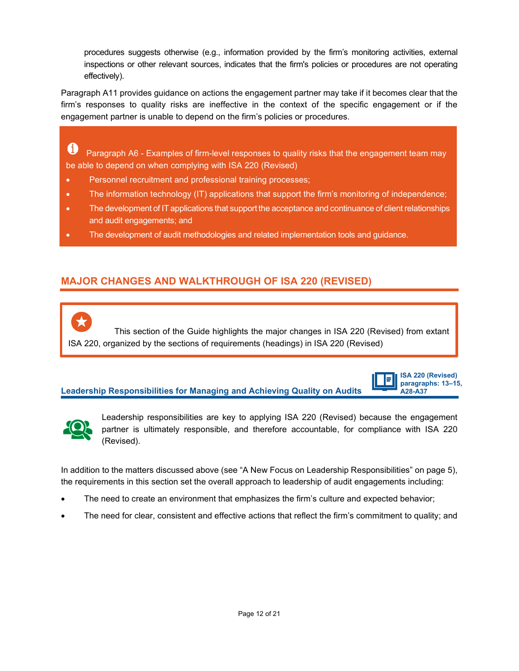procedures suggests otherwise (e.g., information provided by the firm's monitoring activities, external inspections or other relevant sources, indicates that the firm's policies or procedures are not operating effectively).

Paragraph A11 provides guidance on actions the engagement partner may take if it becomes clear that the firm's responses to quality risks are ineffective in the context of the specific engagement or if the engagement partner is unable to depend on the firm's policies or procedures.

O Paragraph A6 - Examples of firm-level responses to quality risks that the engagement team may be able to depend on when complying with ISA 220 (Revised)

- Personnel recruitment and professional training processes;
- The information technology (IT) applications that support the firm's monitoring of independence;
- The development of IT applications that support the acceptance and continuance of client relationships and audit engagements; and
- The development of audit methodologies and related implementation tools and guidance.

# <span id="page-11-0"></span>**MAJOR CHANGES AND WALKTHROUGH OF ISA 220 (REVISED)**

 This section of the Guide highlights the major changes in ISA 220 (Revised) from extant ISA 220, organized by the sections of requirements (headings) in ISA 220 (Revised)

### **Leadership Responsibilities for Managing and Achieving Quality on Audits**

**ISA 220 (Revised)**  E **paragraphs: 13–15, A28-A37**



Leadership responsibilities are key to applying ISA 220 (Revised) because the engagement partner is ultimately responsible, and therefore accountable, for compliance with ISA 220 (Revised).

In addition to the matters discussed above (see "A New Focus on Leadership Responsibilities" on page 5), the requirements in this section set the overall approach to leadership of audit engagements including:

- The need to create an environment that emphasizes the firm's culture and expected behavior;
- The need for clear, consistent and effective actions that reflect the firm's commitment to quality; and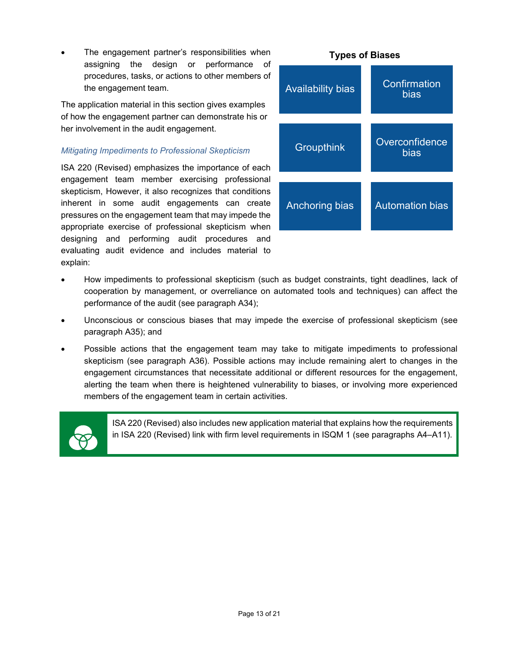The engagement partner's responsibilities when assigning the design or performance of procedures, tasks, or actions to other members of the engagement team.

The application material in this section gives examples of how the engagement partner can demonstrate his or her involvement in the audit engagement.

### *Mitigating Impediments to Professional Skepticism*

ISA 220 (Revised) emphasizes the importance of each engagement team member exercising professional skepticism, However, it also recognizes that conditions inherent in some audit engagements can create pressures on the engagement team that may impede the appropriate exercise of professional skepticism when designing and performing audit procedures and evaluating audit evidence and includes material to explain:



- How impediments to professional skepticism (such as budget constraints, tight deadlines, lack of cooperation by management, or overreliance on automated tools and techniques) can affect the performance of the audit (see paragraph A34);
- Unconscious or conscious biases that may impede the exercise of professional skepticism (see paragraph A35); and
- Possible actions that the engagement team may take to mitigate impediments to professional skepticism (see paragraph A36). Possible actions may include remaining alert to changes in the engagement circumstances that necessitate additional or different resources for the engagement, alerting the team when there is heightened vulnerability to biases, or involving more experienced members of the engagement team in certain activities.



ISA 220 (Revised) also includes new application material that explains how the requirements in ISA 220 (Revised) link with firm level requirements in ISQM 1 (see paragraphs A4–A11).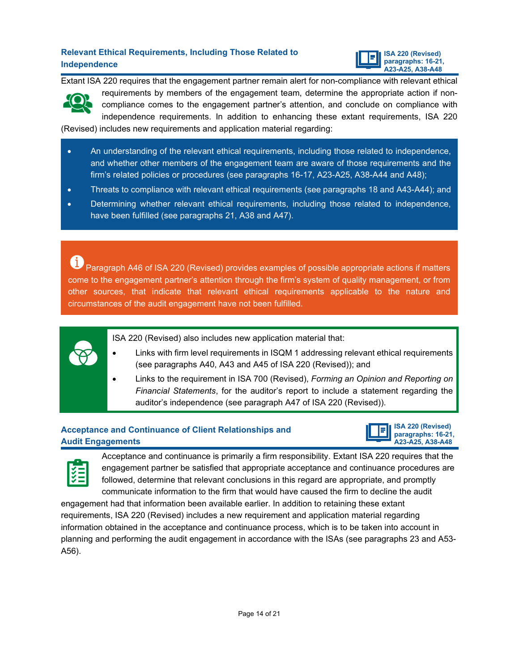### **Relevant Ethical Requirements, Including Those Related to Independence**



Extant ISA 220 requires that the engagement partner remain alert for non-compliance with relevant ethical requirements by members of the engagement team, determine the appropriate action if non-

compliance comes to the engagement partner's attention, and conclude on compliance with independence requirements. In addition to enhancing these extant requirements, ISA 220

(Revised) includes new requirements and application material regarding:

- An understanding of the relevant ethical requirements, including those related to independence, and whether other members of the engagement team are aware of those requirements and the firm's related policies or procedures (see paragraphs 16-17, A23-A25, A38-A44 and A48);
- Threats to compliance with relevant ethical requirements (see paragraphs 18 and A43-A44); and
- Determining whether relevant ethical requirements, including those related to independence, have been fulfilled (see paragraphs 21, A38 and A47).

Œ Paragraph A46 of ISA 220 (Revised) provides examples of possible appropriate actions if matters come to the engagement partner's attention through the firm's system of quality management, or from other sources, that indicate that relevant ethical requirements applicable to the nature and circumstances of the audit engagement have not been fulfilled.



ISA 220 (Revised) also includes new application material that:

- Links with firm level requirements in ISQM 1 addressing relevant ethical requirements (see paragraphs A40, A43 and A45 of ISA 220 (Revised)); and
- Links to the requirement in ISA 700 (Revised), *Forming an Opinion and Reporting on Financial Statements*, for the auditor's report to include a statement regarding the auditor's independence (see paragraph A47 of ISA 220 (Revised)).

# **Acceptance and Continuance of Client Relationships and Audit Engagements**





Acceptance and continuance is primarily a firm responsibility. Extant ISA 220 requires that the engagement partner be satisfied that appropriate acceptance and continuance procedures are followed, determine that relevant conclusions in this regard are appropriate, and promptly communicate information to the firm that would have caused the firm to decline the audit

engagement had that information been available earlier. In addition to retaining these extant requirements, ISA 220 (Revised) includes a new requirement and application material regarding information obtained in the acceptance and continuance process, which is to be taken into account in planning and performing the audit engagement in accordance with the ISAs (see paragraphs 23 and A53- A56).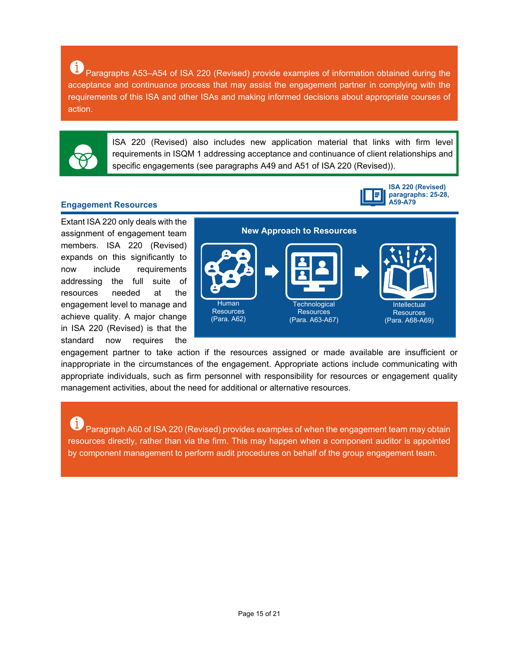6 Paragraphs A53–A54 of ISA 220 (Revised) provide examples of information obtained during the acceptance and continuance process that may assist the engagement partner in complying with the requirements of this ISA and other ISAs and making informed decisions about appropriate courses of action.



ISA 220 (Revised) also includes new application material that links with firm level requirements in ISQM 1 addressing acceptance and continuance of client relationships and specific engagements (see paragraphs A49 and A51 of ISA 220 (Revised)).

### **Engagement Resources**

Extant ISA 220 only deals with the assignment of engagement team members. ISA 220 (Revised) expands on this significantly to now include requirements addressing the full suite of resources needed at the engagement level to manage and achieve quality. A major change in ISA 220 (Revised) is that the standard now requires the



**ISA 220 (Revised) paragraphs: 25-28,**

**A59-A79**

engagement partner to take action if the resources assigned or made available are insufficient or inappropriate in the circumstances of the engagement. Appropriate actions include communicating with appropriate individuals, such as firm personnel with responsibility for resources or engagement quality management activities, about the need for additional or alternative resources.

Paragraph A60 of ISA 220 (Revised) provides examples of when the engagement team may obtain resources directly, rather than via the firm. This may happen when a component auditor is appointed by component management to perform audit procedures on behalf of the group engagement team.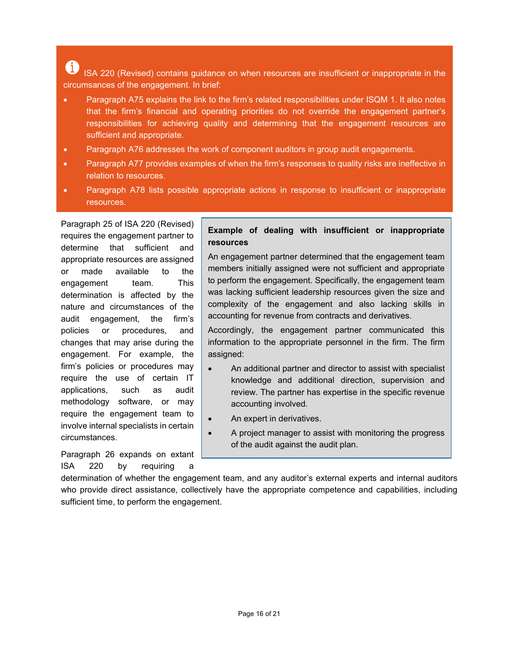6 ISA 220 (Revised) contains guidance on when resources are insufficient or inappropriate in the circumsances of the engagement. In brief:

- Paragraph A75 explains the link to the firm's related responsibilities under ISQM 1. It also notes that the firm's financial and operating priorities do not override the engagement partner's responsibilities for achieving quality and determining that the engagement resources are sufficient and appropriate.
- Paragraph A76 addresses the work of component auditors in group audit engagements.
- Paragraph A77 provides examples of when the firm's responses to quality risks are ineffective in relation to resources.
- Paragraph A78 lists possible appropriate actions in response to insufficient or inappropriate resources.

Paragraph 25 of ISA 220 (Revised) requires the engagement partner to determine that sufficient and appropriate resources are assigned or made available to the engagement team. This determination is affected by the nature and circumstances of the audit engagement, the firm's policies or procedures, and changes that may arise during the engagement. For example, the firm's policies or procedures may require the use of certain IT applications, such as audit methodology software, or may require the engagement team to involve internal specialists in certain circumstances.

Paragraph 26 expands on extant ISA 220 by requiring a

### **Example of dealing with insufficient or inappropriate resources**

An engagement partner determined that the engagement team members initially assigned were not sufficient and appropriate to perform the engagement. Specifically, the engagement team was lacking sufficient leadership resources given the size and complexity of the engagement and also lacking skills in accounting for revenue from contracts and derivatives.

Accordingly, the engagement partner communicated this information to the appropriate personnel in the firm. The firm assigned:

- An additional partner and director to assist with specialist knowledge and additional direction, supervision and review. The partner has expertise in the specific revenue accounting involved.
- An expert in derivatives.
- A project manager to assist with monitoring the progress of the audit against the audit plan.

determination of whether the engagement team, and any auditor's external experts and internal auditors who provide direct assistance, collectively have the appropriate competence and capabilities, including sufficient time, to perform the engagement.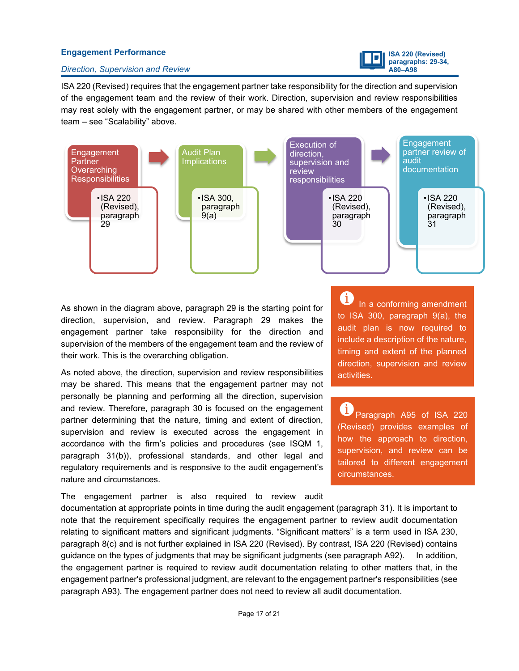### **Engagement Performance**



#### *Direction, Supervision and Review*

ISA 220 (Revised) requires that the engagement partner take responsibility for the direction and supervision of the engagement team and the review of their work. Direction, supervision and review responsibilities may rest solely with the engagement partner, or may be shared with other members of the engagement team – see "Scalability" above.



As shown in the diagram above, paragraph 29 is the starting point for direction, supervision, and review. Paragraph 29 makes the engagement partner take responsibility for the direction and supervision of the members of the engagement team and the review of their work. This is the overarching obligation.

As noted above, the direction, supervision and review responsibilities may be shared. This means that the engagement partner may not personally be planning and performing all the direction, supervision and review. Therefore, paragraph 30 is focused on the engagement partner determining that the nature, timing and extent of direction, supervision and review is executed across the engagement in accordance with the firm's policies and procedures (see ISQM 1, paragraph 31(b)), professional standards, and other legal and regulatory requirements and is responsive to the audit engagement's nature and circumstances.

The engagement partner is also required to review audit

In a conforming amendment to ISA 300, paragraph 9(a), the audit plan is now required to include a description of the nature, timing and extent of the planned direction, supervision and review activities.

Œ. Paragraph A95 of ISA 220 (Revised) provides examples of how the approach to direction, supervision, and review can be tailored to different engagement circumstances.

documentation at appropriate points in time during the audit engagement (paragraph 31). It is important to note that the requirement specifically requires the engagement partner to review audit documentation relating to significant matters and significant judgments. "Significant matters" is a term used in ISA 230, paragraph 8(c) and is not further explained in ISA 220 (Revised). By contrast, ISA 220 (Revised) contains guidance on the types of judgments that may be significant judgments (see paragraph A92). In addition, the engagement partner is required to review audit documentation relating to other matters that, in the engagement partner's professional judgment, are relevant to the engagement partner's responsibilities (see paragraph A93). The engagement partner does not need to review all audit documentation.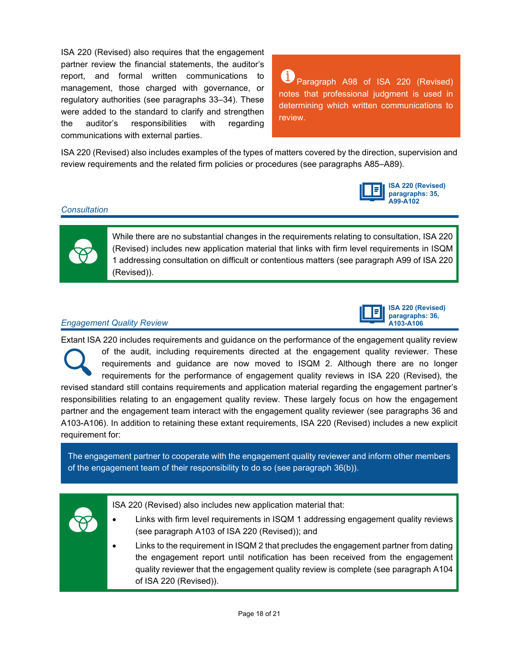ISA 220 (Revised) also requires that the engagement partner review the financial statements, the auditor's report, and formal written communications to management, those charged with governance, or regulatory authorities (see paragraphs 33–34). These were added to the standard to clarify and strengthen the auditor's responsibilities with regarding communications with external parties.

Œ. Paragraph A98 of ISA 220 (Revised) notes that professional judgment is used in determining which written communications to review.

ISA 220 (Revised) also includes examples of the types of matters covered by the direction, supervision and review requirements and the related firm policies or procedures (see paragraphs A85–A89).



### *Consultation*



While there are no substantial changes in the requirements relating to consultation, ISA 220 (Revised) includes new application material that links with firm level requirements in ISQM 1 addressing consultation on difficult or contentious matters (see paragraph A99 of ISA 220 (Revised)).

### *Engagement Quality Review*



Extant ISA 220 includes requirements and guidance on the performance of the engagement quality review of the audit, including requirements directed at the engagement quality reviewer. These requirements and guidance are now moved to ISQM 2. Although there are no longer requirements for the performance of engagement quality reviews in ISA 220 (Revised), the revised standard still contains requirements and application material regarding the engagement partner's responsibilities relating to an engagement quality review. These largely focus on how the engagement partner and the engagement team interact with the engagement quality reviewer (see paragraphs 36 and A103-A106). In addition to retaining these extant requirements, ISA 220 (Revised) includes a new explicit requirement for:

The engagement partner to cooperate with the engagement quality reviewer and inform other members of the engagement team of their responsibility to do so (see paragraph 36(b)).



ISA 220 (Revised) also includes new application material that:

- Links with firm level requirements in ISQM 1 addressing engagement quality reviews (see paragraph A103 of ISA 220 (Revised)); and
- Links to the requirement in ISQM 2 that precludes the engagement partner from dating the engagement report until notification has been received from the engagement quality reviewer that the engagement quality review is complete (see paragraph A104 of ISA 220 (Revised)).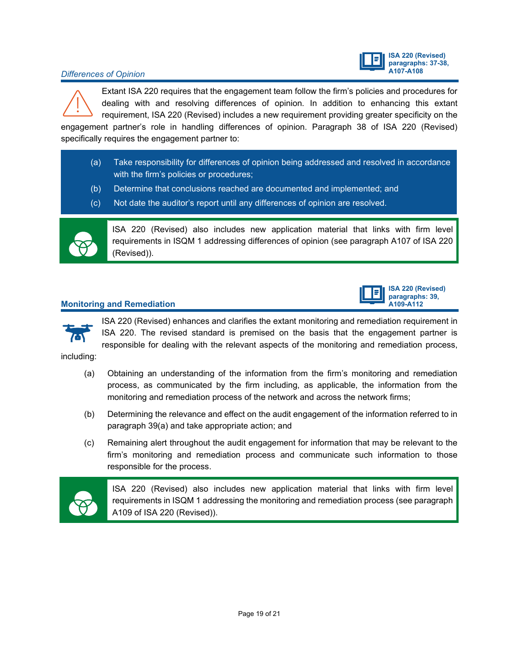# **ISA 220 (Revised) paragraphs: 37-38,**

### *A10 Differences of Opinion*

Extant ISA 220 requires that the engagement team follow the firm's policies and procedures for dealing with and resolving differences of opinion. In addition to enhancing this extant requirement, ISA 220 (Revised) includes a new requirement providing greater specificity on the

engagement partner's role in handling differences of opinion. Paragraph 38 of ISA 220 (Revised) specifically requires the engagement partner to:

- (a) Take responsibility for differences of opinion being addressed and resolved in accordance with the firm's policies or procedures;
- (b) Determine that conclusions reached are documented and implemented; and
- (c) Not date the auditor's report until any differences of opinion are resolved.



ISA 220 (Revised) also includes new application material that links with firm level requirements in ISQM 1 addressing differences of opinion (see paragraph A107 of ISA 220 (Revised)).

### **Monitoring and Remediation**





ISA 220 (Revised) enhances and clarifies the extant monitoring and remediation requirement in ISA 220. The revised standard is premised on the basis that the engagement partner is responsible for dealing with the relevant aspects of the monitoring and remediation process,

including:

- (a) Obtaining an understanding of the information from the firm's monitoring and remediation process, as communicated by the firm including, as applicable, the information from the monitoring and remediation process of the network and across the network firms;
- (b) Determining the relevance and effect on the audit engagement of the information referred to in paragraph 39(a) and take appropriate action; and
- (c) Remaining alert throughout the audit engagement for information that may be relevant to the firm's monitoring and remediation process and communicate such information to those responsible for the process.



ISA 220 (Revised) also includes new application material that links with firm level requirements in ISQM 1 addressing the monitoring and remediation process (see paragraph A109 of ISA 220 (Revised)).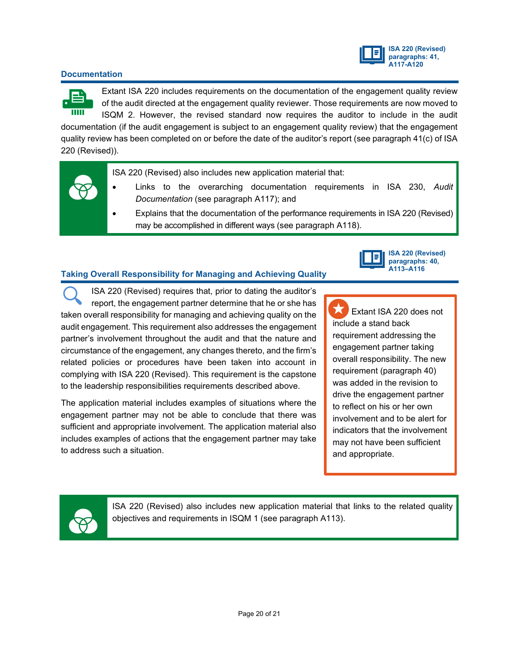

### **Documentation**



Extant ISA 220 includes requirements on the documentation of the engagement quality review of the audit directed at the engagement quality reviewer. Those requirements are now moved to ISQM 2. However, the revised standard now requires the auditor to include in the audit

documentation (if the audit engagement is subject to an engagement quality review) that the engagement quality review has been completed on or before the date of the auditor's report (see paragraph 41(c) of ISA 220 (Revised)).

ISA 220 (Revised) also includes new application material that:

- Links to the overarching documentation requirements in ISA 230, *Audit Documentation* (see paragraph A117); and
- Explains that the documentation of the performance requirements in ISA 220 (Revised) may be accomplished in different ways (see paragraph A118).

### **Taking Overall Responsibility for Managing and Achieving Quality**



ISA 220 (Revised) requires that, prior to dating the auditor's report, the engagement partner determine that he or she has taken overall responsibility for managing and achieving quality on the audit engagement. This requirement also addresses the engagement partner's involvement throughout the audit and that the nature and circumstance of the engagement, any changes thereto, and the firm's related policies or procedures have been taken into account in complying with ISA 220 (Revised). This requirement is the capstone to the leadership responsibilities requirements described above.

The application material includes examples of situations where the engagement partner may not be able to conclude that there was sufficient and appropriate involvement. The application material also includes examples of actions that the engagement partner may take to address such a situation.

 Extant ISA 220 does not include a stand back requirement addressing the engagement partner taking overall responsibility. The new requirement (paragraph 40) was added in the revision to drive the engagement partner to reflect on his or her own involvement and to be alert for indicators that the involvement may not have been sufficient and appropriate.



ISA 220 (Revised) also includes new application material that links to the related quality objectives and requirements in ISQM 1 (see paragraph A113).